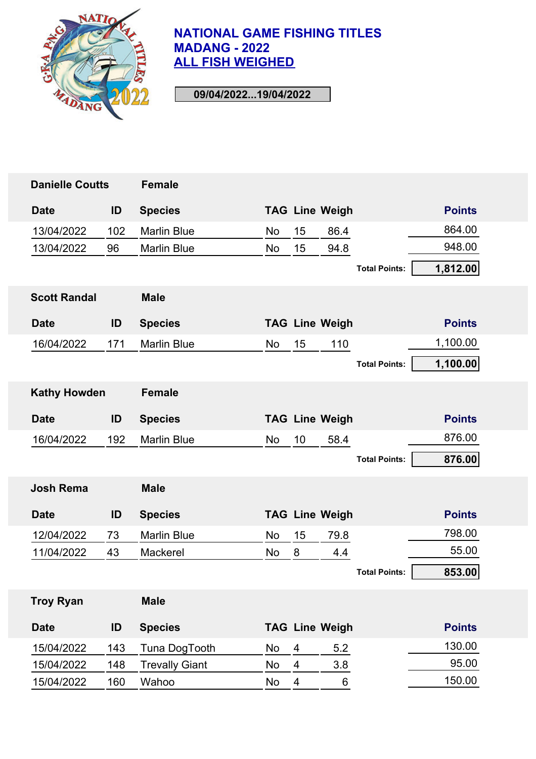

| <b>Danielle Coutts</b> |     | <b>Female</b>         |           |                |                       |                      |               |
|------------------------|-----|-----------------------|-----------|----------------|-----------------------|----------------------|---------------|
| <b>Date</b>            | ID  | <b>Species</b>        |           |                | <b>TAG Line Weigh</b> |                      | <b>Points</b> |
| 13/04/2022             | 102 | <b>Marlin Blue</b>    | No        | 15             | 86.4                  |                      | 864.00        |
| 13/04/2022             | 96  | <b>Marlin Blue</b>    | No        | 15             | 94.8                  |                      | 948.00        |
|                        |     |                       |           |                |                       | <b>Total Points:</b> | 1,812.00      |
| <b>Scott Randal</b>    |     | <b>Male</b>           |           |                |                       |                      |               |
| <b>Date</b>            | ID  | <b>Species</b>        |           |                | <b>TAG Line Weigh</b> |                      | <b>Points</b> |
| 16/04/2022             | 171 | <b>Marlin Blue</b>    | <b>No</b> | 15             | 110                   |                      | 1,100.00      |
|                        |     |                       |           |                |                       | <b>Total Points:</b> | 1,100.00      |
| <b>Kathy Howden</b>    |     | <b>Female</b>         |           |                |                       |                      |               |
| <b>Date</b>            | ID  | <b>Species</b>        |           |                | <b>TAG Line Weigh</b> |                      | <b>Points</b> |
| 16/04/2022             | 192 | <b>Marlin Blue</b>    | <b>No</b> | 10             | 58.4                  |                      | 876.00        |
|                        |     |                       |           |                |                       | <b>Total Points:</b> | 876.00        |
| <b>Josh Rema</b>       |     | <b>Male</b>           |           |                |                       |                      |               |
| <b>Date</b>            | ID  | <b>Species</b>        |           |                | <b>TAG Line Weigh</b> |                      | <b>Points</b> |
| 12/04/2022             | 73  | <b>Marlin Blue</b>    | No        | 15             | 79.8                  |                      | 798.00        |
| 11/04/2022             | 43  | Mackerel              | No        | 8              | 4.4                   |                      | 55.00         |
|                        |     |                       |           |                |                       | <b>Total Points:</b> | 853.00        |
| <b>Troy Ryan</b>       |     | <b>Male</b>           |           |                |                       |                      |               |
| <b>Date</b>            | ID  | <b>Species</b>        |           |                | <b>TAG Line Weigh</b> |                      | <b>Points</b> |
| 15/04/2022             | 143 | Tuna DogTooth         | No        | 4              | 5.2                   |                      | 130.00        |
| 15/04/2022             | 148 | <b>Trevally Giant</b> | No        | $\overline{4}$ | 3.8                   |                      | 95.00         |
| 15/04/2022             | 160 | Wahoo                 | No        | 4              | 6                     |                      | 150.00        |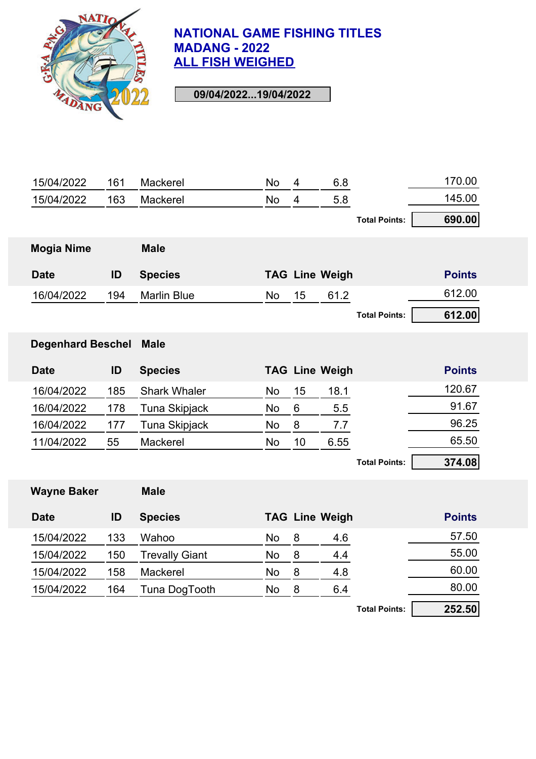

| 15/04/2022               | 161 | Mackerel              | No        | 4  | 6.8                   |                      | 170.00        |
|--------------------------|-----|-----------------------|-----------|----|-----------------------|----------------------|---------------|
| 15/04/2022               | 163 | Mackerel              | <b>No</b> | 4  | 5.8                   |                      | 145.00        |
|                          |     |                       |           |    |                       | <b>Total Points:</b> | 690.00        |
| <b>Mogia Nime</b>        |     | <b>Male</b>           |           |    |                       |                      |               |
| <b>Date</b>              | ID  | <b>Species</b>        |           |    | <b>TAG Line Weigh</b> |                      | <b>Points</b> |
| 16/04/2022               | 194 | <b>Marlin Blue</b>    | <b>No</b> | 15 | 61.2                  |                      | 612.00        |
|                          |     |                       |           |    |                       | <b>Total Points:</b> | 612.00        |
| <b>Degenhard Beschel</b> |     | <b>Male</b>           |           |    |                       |                      |               |
| <b>Date</b>              | ID  | <b>Species</b>        |           |    | <b>TAG Line Weigh</b> |                      | <b>Points</b> |
| 16/04/2022               | 185 | <b>Shark Whaler</b>   | No        | 15 | 18.1                  |                      | 120.67        |
| 16/04/2022               | 178 | <b>Tuna Skipjack</b>  | No        | 6  | 5.5                   |                      | 91.67         |
| 16/04/2022               | 177 | <b>Tuna Skipjack</b>  | No        | 8  | 7.7                   |                      | 96.25         |
| 11/04/2022               | 55  | Mackerel              | <b>No</b> | 10 | 6.55                  |                      | 65.50         |
|                          |     |                       |           |    |                       | <b>Total Points:</b> | 374.08        |
| <b>Wayne Baker</b>       |     | <b>Male</b>           |           |    |                       |                      |               |
| <b>Date</b>              | ID  | <b>Species</b>        |           |    | <b>TAG Line Weigh</b> |                      | <b>Points</b> |
| 15/04/2022               | 133 | Wahoo                 | No        | 8  | 4.6                   |                      | 57.50         |
| 15/04/2022               | 150 | <b>Trevally Giant</b> | No        | 8  | 4.4                   |                      | 55.00         |
| 15/04/2022               | 158 | Mackerel              | No        | 8  | 4.8                   |                      | 60.00         |
| 15/04/2022               | 164 | Tuna DogTooth         | No        | 8  | 6.4                   |                      | 80.00         |
|                          |     |                       |           |    |                       | <b>Total Points:</b> | 252.50        |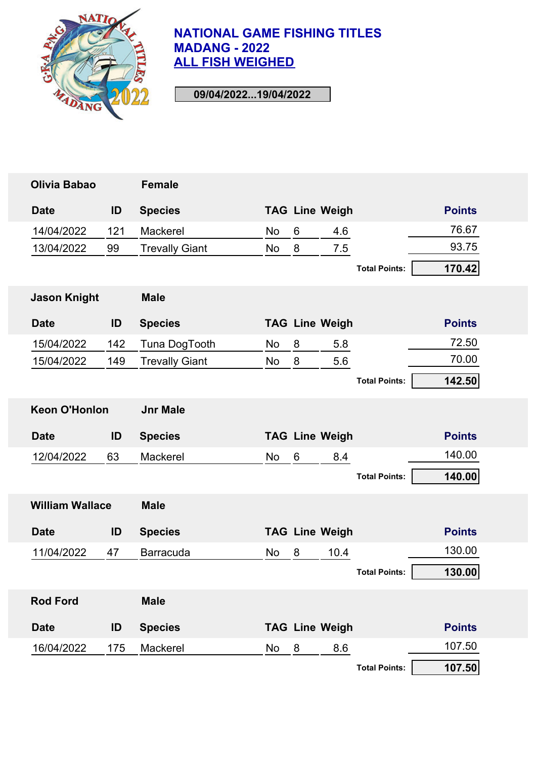

| Olivia Babao           |     | <b>Female</b>         |    |   |                       |                      |               |
|------------------------|-----|-----------------------|----|---|-----------------------|----------------------|---------------|
| <b>Date</b>            | ID  | <b>Species</b>        |    |   | <b>TAG Line Weigh</b> |                      | <b>Points</b> |
| 14/04/2022             | 121 | Mackerel              | No | 6 | 4.6                   |                      | 76.67         |
| 13/04/2022             | 99  | <b>Trevally Giant</b> | No | 8 | 7.5                   |                      | 93.75         |
|                        |     |                       |    |   |                       | <b>Total Points:</b> | 170.42        |
| <b>Jason Knight</b>    |     | <b>Male</b>           |    |   |                       |                      |               |
| <b>Date</b>            | ID  | <b>Species</b>        |    |   | <b>TAG Line Weigh</b> |                      | <b>Points</b> |
| 15/04/2022             | 142 | Tuna DogTooth         | No | 8 | 5.8                   |                      | 72.50         |
| 15/04/2022             | 149 | <b>Trevally Giant</b> | No | 8 | 5.6                   |                      | 70.00         |
|                        |     |                       |    |   |                       | <b>Total Points:</b> | 142.50        |
| <b>Keon O'Honlon</b>   |     | <b>Jnr Male</b>       |    |   |                       |                      |               |
|                        |     |                       |    |   |                       |                      |               |
| <b>Date</b>            | ID  | <b>Species</b>        |    |   | <b>TAG Line Weigh</b> |                      | <b>Points</b> |
| 12/04/2022             | 63  | Mackerel              | No | 6 | 8.4                   |                      | 140.00        |
|                        |     |                       |    |   |                       | <b>Total Points:</b> | 140.00        |
| <b>William Wallace</b> |     | <b>Male</b>           |    |   |                       |                      |               |
| <b>Date</b>            | ID  | <b>Species</b>        |    |   | <b>TAG Line Weigh</b> |                      | <b>Points</b> |
| 11/04/2022             | 47  | <b>Barracuda</b>      | No | 8 | 10.4                  |                      | 130.00        |
|                        |     |                       |    |   |                       | <b>Total Points:</b> | 130.00        |
| <b>Rod Ford</b>        |     | <b>Male</b>           |    |   |                       |                      |               |
| <b>Date</b>            | ID  | <b>Species</b>        |    |   | <b>TAG Line Weigh</b> |                      | <b>Points</b> |
| 16/04/2022             | 175 | Mackerel              | No | 8 | 8.6                   |                      | 107.50        |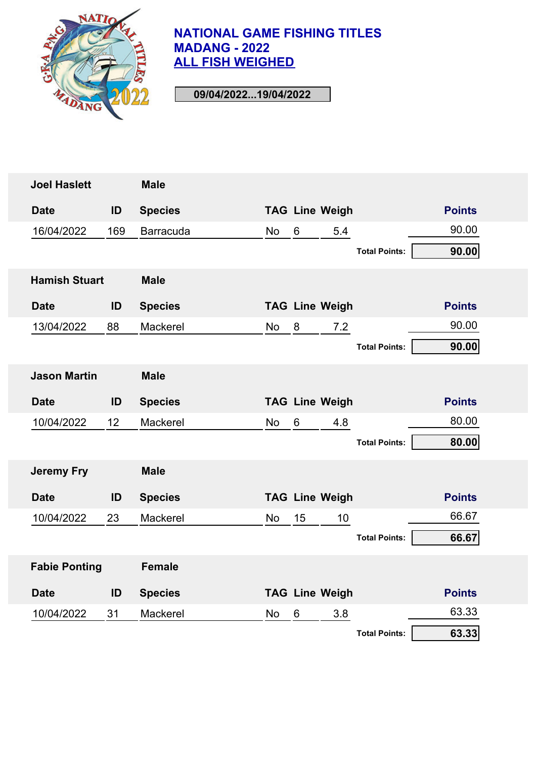

| <b>Joel Haslett</b>  |     | <b>Male</b>    |           |       |                       |                      |               |
|----------------------|-----|----------------|-----------|-------|-----------------------|----------------------|---------------|
| <b>Date</b>          | ID  | <b>Species</b> |           |       | <b>TAG Line Weigh</b> |                      | <b>Points</b> |
| 16/04/2022           | 169 | Barracuda      | No        | $6\,$ | 5.4                   |                      | 90.00         |
|                      |     |                |           |       |                       | <b>Total Points:</b> | 90.00         |
| <b>Hamish Stuart</b> |     | <b>Male</b>    |           |       |                       |                      |               |
| <b>Date</b>          | ID  | <b>Species</b> |           |       | <b>TAG Line Weigh</b> |                      | <b>Points</b> |
| 13/04/2022           | 88  | Mackerel       | No        | 8     | 7.2                   |                      | 90.00         |
|                      |     |                |           |       |                       | <b>Total Points:</b> | 90.00         |
| <b>Jason Martin</b>  |     | <b>Male</b>    |           |       |                       |                      |               |
| <b>Date</b>          | ID  | <b>Species</b> |           |       | <b>TAG Line Weigh</b> |                      | <b>Points</b> |
| 10/04/2022           | 12  | Mackerel       | No        | 6     | 4.8                   |                      | 80.00         |
|                      |     |                |           |       |                       | <b>Total Points:</b> | 80.00         |
| <b>Jeremy Fry</b>    |     | <b>Male</b>    |           |       |                       |                      |               |
| <b>Date</b>          | ID  | <b>Species</b> |           |       | <b>TAG Line Weigh</b> |                      | <b>Points</b> |
| 10/04/2022           | 23  | Mackerel       | <b>No</b> | 15    | 10                    |                      | 66.67         |
|                      |     |                |           |       |                       | <b>Total Points:</b> | 66.67         |
| <b>Fabie Ponting</b> |     | <b>Female</b>  |           |       |                       |                      |               |
| <b>Date</b>          | ID  | <b>Species</b> |           |       | <b>TAG Line Weigh</b> |                      | <b>Points</b> |
| 10/04/2022           | 31  | Mackerel       | No        | 6     | 3.8                   |                      | 63.33         |
|                      |     |                |           |       |                       | <b>Total Points:</b> | 63.33         |